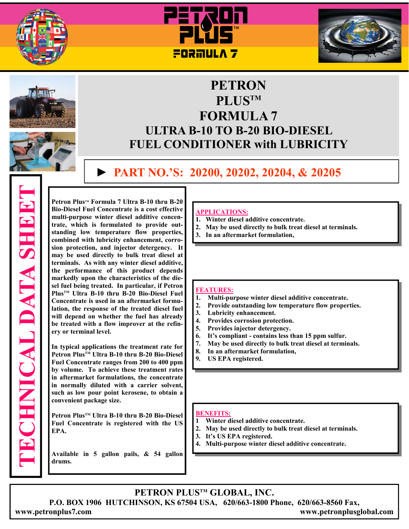









# **PETRON PLUSTM FORMULA 7 ULTRA B-10 TO B-20 BIO-DIESEL FUEL CONDITIONER with LUBRICITY**

## **► PART NO.'S: 20200, 20202, 20204, & 20205**

**TECHNICAL DATA SHEET ECHNICAL DATA SHEET** 

Petron Plus™ Formula 7 Ultra B-10 thru B-20 **Bio-Diesel Fuel Concentrate is a cost effective multi-purpose winter diesel additive concentrate, which is formulated to provide outstanding low temperature flow properties, combined with lubricity enhancement, corrosion protection, and injector detergency. It may be used directly to bulk treat diesel at terminals. As with any winter diesel additive, the performance of this product depends markedly upon the characteristics of the diesel fuel being treated. In particular, if Petron PlusTM Ultra B-10 thru B-20 Bio-Diesel Fuel Concentrate is used in an aftermarket formulation, the response of the treated diesel fuel will depend on whether the fuel has already be treated with a flow improver at the refinery or terminal level.** 

**In typical applications the treatment rate for Petron PlusTM Ultra B-10 thru B-20 Bio-Diesel Fuel Concentrate ranges from 200 to 400 ppm by volume. To achieve these treatment rates in aftermarket formulations, the concentrate in normally diluted with a carrier solvent, such as low pour point kerosene, to obtain a convenient package size.** 

Petron Plus<sup>™</sup> Ultra B-10 thru B-20 Bio-Diesel **Fuel Concentrate is registered with the US EPA.** 

**Available in 5 gallon pails, & 54 gallon drums.**

#### **APPLICATIONS:**

- **1. Winter diesel additive concentrate.**
- **2. May be used directly to bulk treat diesel at terminals.**
- **3. In an aftermarket formulation,**

#### **FEATURES:**

- **1. Multi-purpose winter diesel additive concentrate.**
- **2. Provide outstanding low temperature flow properties.**
- **3. Lubricity enhancement.**
- **4. Provides corrosion protection.**
- **5. Provides injector detergency.**
- **6. It's compliant contains less than 15 ppm sulfur.**
- **7. May be used directly to bulk treat diesel at terminals.**
- **8. In an aftermarket formulation,**
- **9. US EPA registered.**

#### **BENEFITS:**

- **1 Winter diesel additive concentrate.**
- **2. May be used directly to bulk treat diesel at terminals.**
- **3. It's US EPA registered.**
- **4. Multi-purpose winter diesel additive concentrate.**

### **PETRON PLUSTM GLOBAL, INC.**

**P.O. BOX 1906 HUTCHINSON, KS 67504 USA, 620/663-1800 Phone, 620/663-8560 Fax, www.petronplus7.com www.petronplusglobal.com**